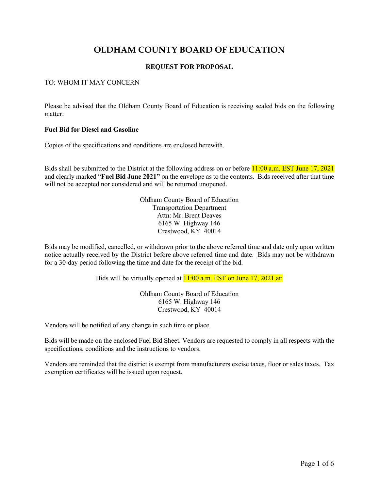# **OLDHAM COUNTY BOARD OF EDUCATION**

### **REQUEST FOR PROPOSAL**

#### TO: WHOM IT MAY CONCERN

Please be advised that the Oldham County Board of Education is receiving sealed bids on the following matter:

#### **Fuel Bid for Diesel and Gasoline**

Copies of the specifications and conditions are enclosed herewith.

Bids shall be submitted to the District at the following address on or before 11:00 a.m. EST June 17, 2021 and clearly marked "**Fuel Bid June 2021"** on the envelope as to the contents. Bids received after that time will not be accepted nor considered and will be returned unopened.

> Oldham County Board of Education Transportation Department Attn: Mr. Brent Deaves 6165 W. Highway 146 Crestwood, KY 40014

Bids may be modified, cancelled, or withdrawn prior to the above referred time and date only upon written notice actually received by the District before above referred time and date. Bids may not be withdrawn for a 30-day period following the time and date for the receipt of the bid.

Bids will be virtually opened at **11:00 a.m. EST on June 17, 2021 at:** 

Oldham County Board of Education 6165 W. Highway 146 Crestwood, KY 40014

Vendors will be notified of any change in such time or place.

Bids will be made on the enclosed Fuel Bid Sheet. Vendors are requested to comply in all respects with the specifications, conditions and the instructions to vendors.

Vendors are reminded that the district is exempt from manufacturers excise taxes, floor or sales taxes. Tax exemption certificates will be issued upon request.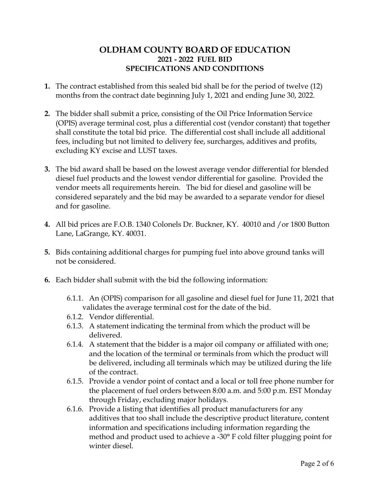## **OLDHAM COUNTY BOARD OF EDUCATION 2021 - 2022 FUEL BID SPECIFICATIONS AND CONDITIONS**

- **1.** The contract established from this sealed bid shall be for the period of twelve (12) months from the contract date beginning July 1, 2021 and ending June 30, 2022.
- **2.** The bidder shall submit a price, consisting of the Oil Price Information Service (OPIS) average terminal cost, plus a differential cost (vendor constant) that together shall constitute the total bid price. The differential cost shall include all additional fees, including but not limited to delivery fee, surcharges, additives and profits, excluding KY excise and LUST taxes.
- **3.** The bid award shall be based on the lowest average vendor differential for blended diesel fuel products and the lowest vendor differential for gasoline. Provided the vendor meets all requirements herein. The bid for diesel and gasoline will be considered separately and the bid may be awarded to a separate vendor for diesel and for gasoline.
- **4.** All bid prices are F.O.B. 1340 Colonels Dr. Buckner, KY. 40010 and /or 1800 Button Lane, LaGrange, KY. 40031.
- **5.** Bids containing additional charges for pumping fuel into above ground tanks will not be considered.
- **6.** Each bidder shall submit with the bid the following information:
	- 6.1.1. An (OPIS) comparison for all gasoline and diesel fuel for June 11, 2021 that validates the average terminal cost for the date of the bid.
	- 6.1.2. Vendor differential.
	- 6.1.3. A statement indicating the terminal from which the product will be delivered.
	- 6.1.4. A statement that the bidder is a major oil company or affiliated with one; and the location of the terminal or terminals from which the product will be delivered, including all terminals which may be utilized during the life of the contract.
	- 6.1.5. Provide a vendor point of contact and a local or toll free phone number for the placement of fuel orders between 8:00 a.m. and 5:00 p.m. EST Monday through Friday, excluding major holidays.
	- 6.1.6. Provide a listing that identifies all product manufacturers for any additives that too shall include the descriptive product literature, content information and specifications including information regarding the method and product used to achieve a -30° F cold filter plugging point for winter diesel.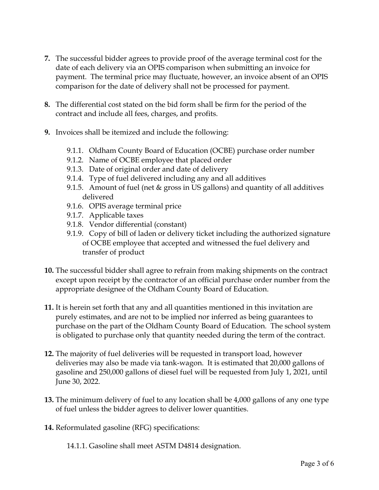- **7.** The successful bidder agrees to provide proof of the average terminal cost for the date of each delivery via an OPIS comparison when submitting an invoice for payment. The terminal price may fluctuate, however, an invoice absent of an OPIS comparison for the date of delivery shall not be processed for payment.
- **8.** The differential cost stated on the bid form shall be firm for the period of the contract and include all fees, charges, and profits.
- **9.** Invoices shall be itemized and include the following:
	- 9.1.1. Oldham County Board of Education (OCBE) purchase order number
	- 9.1.2. Name of OCBE employee that placed order
	- 9.1.3. Date of original order and date of delivery
	- 9.1.4. Type of fuel delivered including any and all additives
	- 9.1.5. Amount of fuel (net & gross in US gallons) and quantity of all additives delivered
	- 9.1.6. OPIS average terminal price
	- 9.1.7. Applicable taxes
	- 9.1.8. Vendor differential (constant)
	- 9.1.9. Copy of bill of laden or delivery ticket including the authorized signature of OCBE employee that accepted and witnessed the fuel delivery and transfer of product
- **10.** The successful bidder shall agree to refrain from making shipments on the contract except upon receipt by the contractor of an official purchase order number from the appropriate designee of the Oldham County Board of Education.
- **11.** It is herein set forth that any and all quantities mentioned in this invitation are purely estimates, and are not to be implied nor inferred as being guarantees to purchase on the part of the Oldham County Board of Education. The school system is obligated to purchase only that quantity needed during the term of the contract.
- **12.** The majority of fuel deliveries will be requested in transport load, however deliveries may also be made via tank-wagon. It is estimated that 20,000 gallons of gasoline and 250,000 gallons of diesel fuel will be requested from July 1, 2021, until June 30, 2022.
- **13.** The minimum delivery of fuel to any location shall be 4,000 gallons of any one type of fuel unless the bidder agrees to deliver lower quantities.
- **14.** Reformulated gasoline (RFG) specifications:

14.1.1. Gasoline shall meet ASTM D4814 designation.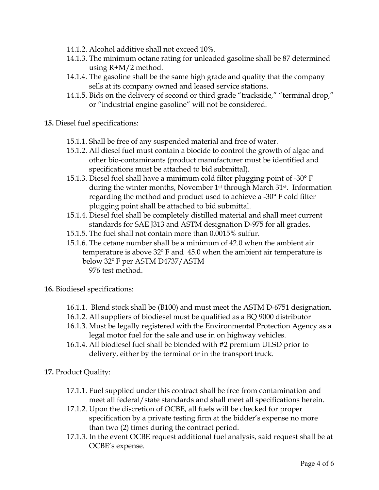- 14.1.2. Alcohol additive shall not exceed 10%.
- 14.1.3. The minimum octane rating for unleaded gasoline shall be 87 determined using R+M/2 method.
- 14.1.4. The gasoline shall be the same high grade and quality that the company sells at its company owned and leased service stations.
- 14.1.5. Bids on the delivery of second or third grade "trackside," "terminal drop," or "industrial engine gasoline" will not be considered.
- **15.** Diesel fuel specifications:
	- 15.1.1. Shall be free of any suspended material and free of water.
	- 15.1.2. All diesel fuel must contain a biocide to control the growth of algae and other bio-contaminants (product manufacturer must be identified and specifications must be attached to bid submittal).
	- 15.1.3. Diesel fuel shall have a minimum cold filter plugging point of -30° F during the winter months, November 1<sup>st</sup> through March 31<sup>st</sup>. Information regarding the method and product used to achieve a -30° F cold filter plugging point shall be attached to bid submittal.
	- 15.1.4. Diesel fuel shall be completely distilled material and shall meet current standards for SAE J313 and ASTM designation D-975 for all grades.
	- 15.1.5. The fuel shall not contain more than 0.0015% sulfur.
	- 15.1.6. The cetane number shall be a minimum of 42.0 when the ambient air temperature is above 32º F and 45.0 when the ambient air temperature is below 32º F per ASTM D4737/ASTM 976 test method.
- **16.** Biodiesel specifications:
	- 16.1.1. Blend stock shall be (B100) and must meet the ASTM D-6751 designation.
	- 16.1.2. All suppliers of biodiesel must be qualified as a BQ 9000 distributor
	- 16.1.3. Must be legally registered with the Environmental Protection Agency as a legal motor fuel for the sale and use in on highway vehicles.
	- 16.1.4. All biodiesel fuel shall be blended with #2 premium ULSD prior to delivery, either by the terminal or in the transport truck.
- **17.** Product Quality:
	- 17.1.1. Fuel supplied under this contract shall be free from contamination and meet all federal/state standards and shall meet all specifications herein.
	- 17.1.2. Upon the discretion of OCBE, all fuels will be checked for proper specification by a private testing firm at the bidder's expense no more than two (2) times during the contract period.
	- 17.1.3. In the event OCBE request additional fuel analysis, said request shall be at OCBE's expense.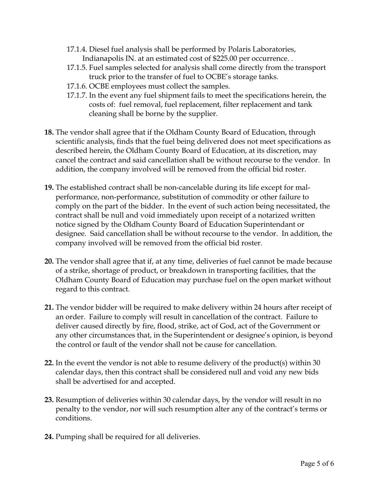- 17.1.4. Diesel fuel analysis shall be performed by Polaris Laboratories, Indianapolis IN. at an estimated cost of \$225.00 per occurrence. .
- 17.1.5. Fuel samples selected for analysis shall come directly from the transport truck prior to the transfer of fuel to OCBE's storage tanks.
- 17.1.6. OCBE employees must collect the samples.
- 17.1.7. In the event any fuel shipment fails to meet the specifications herein, the costs of: fuel removal, fuel replacement, filter replacement and tank cleaning shall be borne by the supplier.
- **18.** The vendor shall agree that if the Oldham County Board of Education, through scientific analysis, finds that the fuel being delivered does not meet specifications as described herein, the Oldham County Board of Education, at its discretion, may cancel the contract and said cancellation shall be without recourse to the vendor. In addition, the company involved will be removed from the official bid roster.
- **19.** The established contract shall be non-cancelable during its life except for malperformance, non-performance, substitution of commodity or other failure to comply on the part of the bidder. In the event of such action being necessitated, the contract shall be null and void immediately upon receipt of a notarized written notice signed by the Oldham County Board of Education Superintendant or designee. Said cancellation shall be without recourse to the vendor. In addition, the company involved will be removed from the official bid roster.
- **20.** The vendor shall agree that if, at any time, deliveries of fuel cannot be made because of a strike, shortage of product, or breakdown in transporting facilities, that the Oldham County Board of Education may purchase fuel on the open market without regard to this contract.
- **21.** The vendor bidder will be required to make delivery within 24 hours after receipt of an order. Failure to comply will result in cancellation of the contract. Failure to deliver caused directly by fire, flood, strike, act of God, act of the Government or any other circumstances that, in the Superintendent or designee's opinion, is beyond the control or fault of the vendor shall not be cause for cancellation.
- **22.** In the event the vendor is not able to resume delivery of the product(s) within 30 calendar days, then this contract shall be considered null and void any new bids shall be advertised for and accepted.
- **23.** Resumption of deliveries within 30 calendar days, by the vendor will result in no penalty to the vendor, nor will such resumption alter any of the contract's terms or conditions.
- **24.** Pumping shall be required for all deliveries.